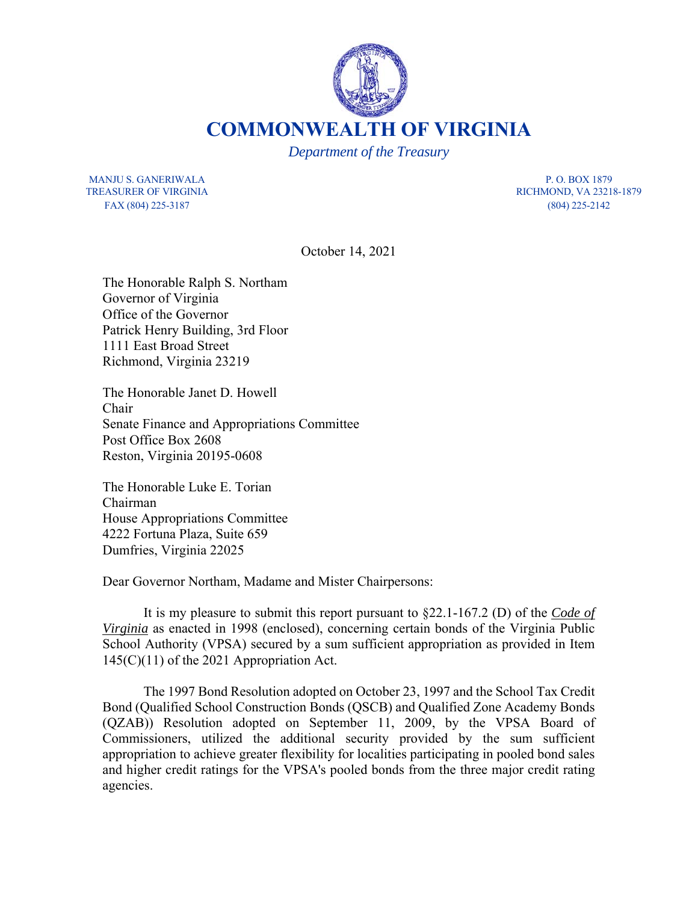

**COMMONWEALTH OF VIRGINIA**

*Department of the Treasury*

MANJU S. GANERIWALA PRODUCED EXECUTE THE P.O. BOX 1879 TREASURER OF VIRGINIA RICHMOND, VA 23218-1879 FAX (804) 225-3187 (804) 225-2142

October 14, 2021

The Honorable Ralph S. Northam Governor of Virginia Office of the Governor Patrick Henry Building, 3rd Floor 1111 East Broad Street Richmond, Virginia 23219

The Honorable Janet D. Howell Chair Senate Finance and Appropriations Committee Post Office Box 2608 Reston, Virginia 20195-0608

The Honorable Luke E. Torian Chairman House Appropriations Committee 4222 Fortuna Plaza, Suite 659 Dumfries, Virginia 22025

Dear Governor Northam, Madame and Mister Chairpersons:

It is my pleasure to submit this report pursuant to §22.1-167.2 (D) of the *Code of Virginia* as enacted in 1998 (enclosed), concerning certain bonds of the Virginia Public School Authority (VPSA) secured by a sum sufficient appropriation as provided in Item 145(C)(11) of the 2021 Appropriation Act.

The 1997 Bond Resolution adopted on October 23, 1997 and the School Tax Credit Bond (Qualified School Construction Bonds (QSCB) and Qualified Zone Academy Bonds (QZAB)) Resolution adopted on September 11, 2009, by the VPSA Board of Commissioners, utilized the additional security provided by the sum sufficient appropriation to achieve greater flexibility for localities participating in pooled bond sales and higher credit ratings for the VPSA's pooled bonds from the three major credit rating agencies.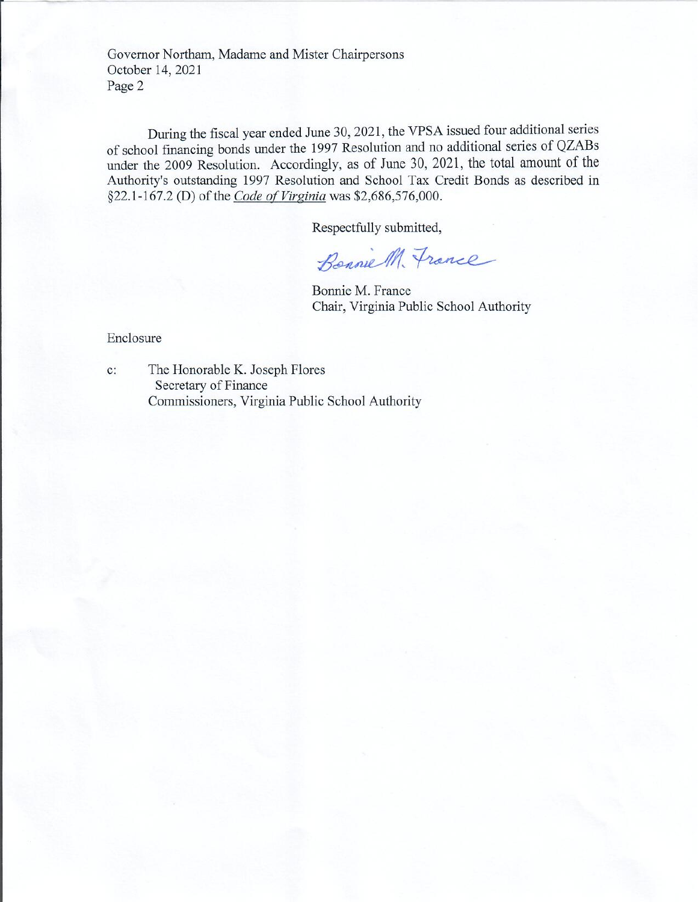Governor Northam, Madame and Mister Chairpersons October 14, 2021 Page 2

During the fiscal year ended June 30, 2021, the VPSA issued four additional series of school financing bonds under the 1997 Resolution and no additional series of QZABs under the 2009 Resolution. Accordingly, as of June 30, 2021, the total amount of the Authority's outstanding 1997 Resolution and School Tax Credit Bonds as described in §22.1-167.2 (D) of the Code of Virginia was \$2,686,576,000.

Respectfully submitted,

Benniell, France

Bonnie M. France Chair, Virginia Public School Authority

Enclosure

 $c$ :

The Honorable K. Joseph Flores Secretary of Finance Commissioners, Virginia Public School Authority